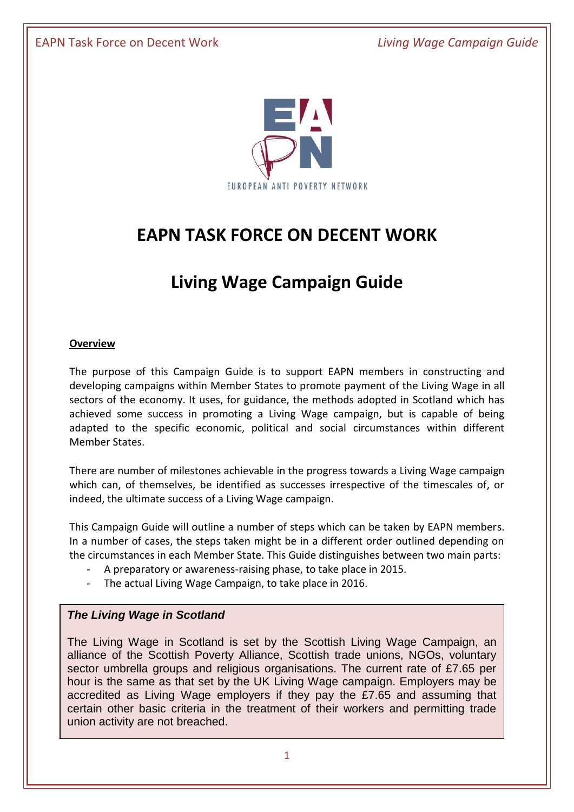

# **EAPN TASK FORCE ON DECENT WORK**

# **Living Wage Campaign Guide**

#### **Overview**

The purpose of this Campaign Guide is to support EAPN members in constructing and developing campaigns within Member States to promote payment of the Living Wage in all sectors of the economy. It uses, for guidance, the methods adopted in Scotland which has achieved some success in promoting a Living Wage campaign, but is capable of being adapted to the specific economic, political and social circumstances within different Member States.

There are number of milestones achievable in the progress towards a Living Wage campaign which can, of themselves, be identified as successes irrespective of the timescales of, or indeed, the ultimate success of a Living Wage campaign.

This Campaign Guide will outline a number of steps which can be taken by EAPN members. In a number of cases, the steps taken might be in a different order outlined depending on the circumstances in each Member State. This Guide distinguishes between two main parts:

- A preparatory or awareness-raising phase, to take place in 2015.
- The actual Living Wage Campaign, to take place in 2016.

## *The Living Wage in Scotland*

The Living Wage in Scotland is set by the Scottish Living Wage Campaign, an alliance of the Scottish Poverty Alliance, Scottish trade unions, NGOs, voluntary sector umbrella groups and religious organisations. The current rate of £7.65 per hour is the same as that set by the UK Living Wage campaign. Employers may be accredited as Living Wage employers if they pay the £7.65 and assuming that certain other basic criteria in the treatment of their workers and permitting trade union activity are not breached.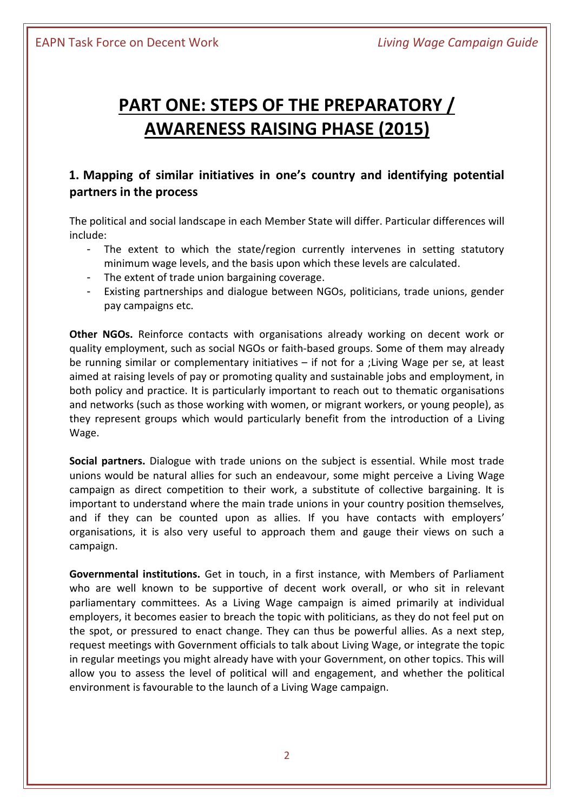# **PART ONE: STEPS OF THE PREPARATORY / AWARENESS RAISING PHASE (2015)**

# **1. Mapping of similar initiatives in one's country and identifying potential partners in the process**

The political and social landscape in each Member State will differ. Particular differences will include:

- The extent to which the state/region currently intervenes in setting statutory minimum wage levels, and the basis upon which these levels are calculated.
- The extent of trade union bargaining coverage.
- Existing partnerships and dialogue between NGOs, politicians, trade unions, gender pay campaigns etc.

**Other NGOs.** Reinforce contacts with organisations already working on decent work or quality employment, such as social NGOs or faith-based groups. Some of them may already be running similar or complementary initiatives – if not for a ;Living Wage per se, at least aimed at raising levels of pay or promoting quality and sustainable jobs and employment, in both policy and practice. It is particularly important to reach out to thematic organisations and networks (such as those working with women, or migrant workers, or young people), as they represent groups which would particularly benefit from the introduction of a Living Wage.

**Social partners.** Dialogue with trade unions on the subject is essential. While most trade unions would be natural allies for such an endeavour, some might perceive a Living Wage campaign as direct competition to their work, a substitute of collective bargaining. It is important to understand where the main trade unions in your country position themselves, and if they can be counted upon as allies. If you have contacts with employers' organisations, it is also very useful to approach them and gauge their views on such a campaign.

**Governmental institutions.** Get in touch, in a first instance, with Members of Parliament who are well known to be supportive of decent work overall, or who sit in relevant parliamentary committees. As a Living Wage campaign is aimed primarily at individual employers, it becomes easier to breach the topic with politicians, as they do not feel put on the spot, or pressured to enact change. They can thus be powerful allies. As a next step, request meetings with Government officials to talk about Living Wage, or integrate the topic in regular meetings you might already have with your Government, on other topics. This will allow you to assess the level of political will and engagement, and whether the political environment is favourable to the launch of a Living Wage campaign.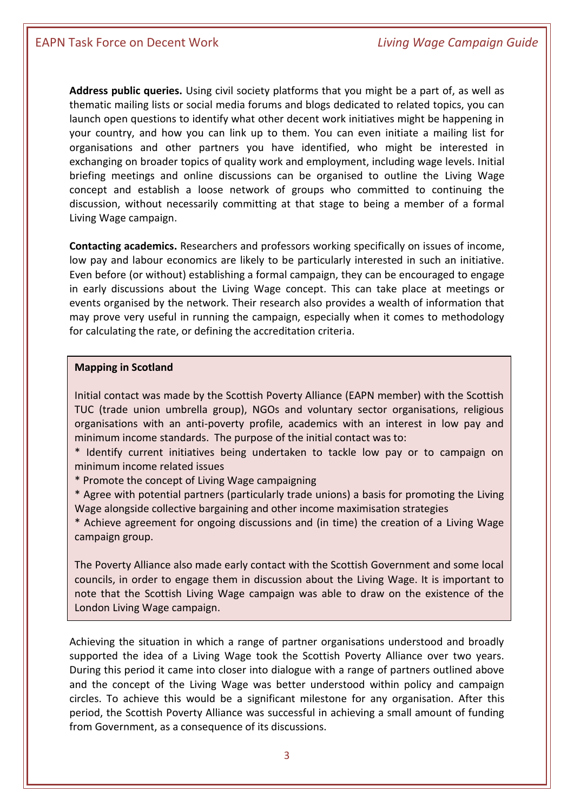**Address public queries.** Using civil society platforms that you might be a part of, as well as thematic mailing lists or social media forums and blogs dedicated to related topics, you can launch open questions to identify what other decent work initiatives might be happening in your country, and how you can link up to them. You can even initiate a mailing list for organisations and other partners you have identified, who might be interested in exchanging on broader topics of quality work and employment, including wage levels. Initial briefing meetings and online discussions can be organised to outline the Living Wage concept and establish a loose network of groups who committed to continuing the discussion, without necessarily committing at that stage to being a member of a formal Living Wage campaign.

**Contacting academics.** Researchers and professors working specifically on issues of income, low pay and labour economics are likely to be particularly interested in such an initiative. Even before (or without) establishing a formal campaign, they can be encouraged to engage in early discussions about the Living Wage concept. This can take place at meetings or events organised by the network. Their research also provides a wealth of information that may prove very useful in running the campaign, especially when it comes to methodology for calculating the rate, or defining the accreditation criteria.

#### **Mapping in Scotland**

Initial contact was made by the Scottish Poverty Alliance (EAPN member) with the Scottish TUC (trade union umbrella group), NGOs and voluntary sector organisations, religious organisations with an anti-poverty profile, academics with an interest in low pay and minimum income standards. The purpose of the initial contact was to:

\* Identify current initiatives being undertaken to tackle low pay or to campaign on minimum income related issues

- \* Promote the concept of Living Wage campaigning

\* Agree with potential partners (particularly trade unions) a basis for promoting the Living Wage alongside collective bargaining and other income maximisation strategies

\* Achieve agreement for ongoing discussions and (in time) the creation of a Living Wage campaign group.

London Living Wage campaign. The Poverty Alliance also made early contact with the Scottish Government and some local councils, in order to engage them in discussion about the Living Wage. It is important to note that the Scottish Living Wage campaign was able to draw on the existence of the

Achieving the situation in which a range of partner organisations understood and broadly supported the idea of a Living Wage took the Scottish Poverty Alliance over two years. During this period it came into closer into dialogue with a range of partners outlined above and the concept of the Living Wage was better understood within policy and campaign circles. To achieve this would be a significant milestone for any organisation. After this period, the Scottish Poverty Alliance was successful in achieving a small amount of funding from Government, as a consequence of its discussions.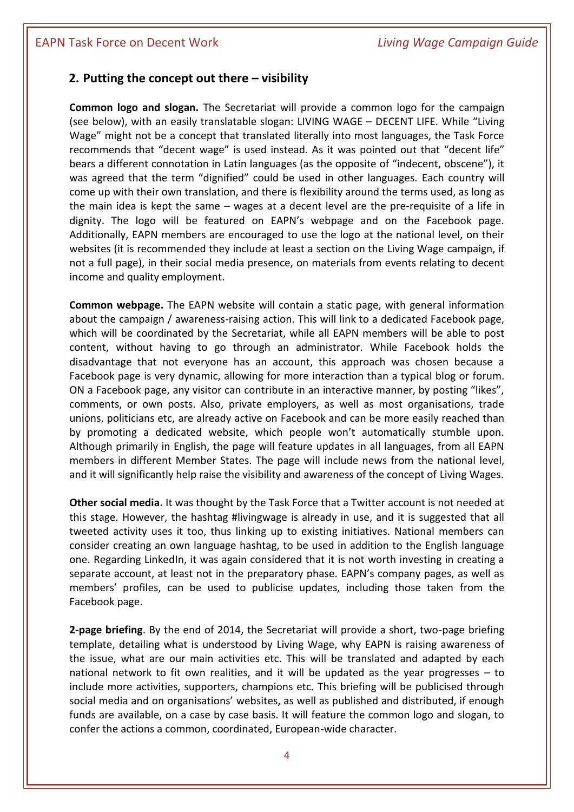#### **2. Putting the concept out there – visibility**

**Common logo and slogan.** The Secretariat will provide a common logo for the campaign (see below), with an easily translatable slogan: LIVING WAGE – DECENT LIFE. While "Living Wage" might not be a concept that translated literally into most languages, the Task Force recommends that "decent wage" is used instead. As it was pointed out that "decent life" bears a different connotation in Latin languages (as the opposite of "indecent, obscene"), it was agreed that the term "dignified" could be used in other languages. Each country will come up with their own translation, and there is flexibility around the terms used, as long as the main idea is kept the same – wages at a decent level are the pre-requisite of a life in dignity. The logo will be featured on EAPN's webpage and on the Facebook page. Additionally, EAPN members are encouraged to use the logo at the national level, on their websites (it is recommended they include at least a section on the Living Wage campaign, if not a full page), in their social media presence, on materials from events relating to decent income and quality employment.

**Common webpage.** The EAPN website will contain a static page, with general information about the campaign / awareness-raising action. This will link to a dedicated Facebook page, which will be coordinated by the Secretariat, while all EAPN members will be able to post content, without having to go through an administrator. While Facebook holds the disadvantage that not everyone has an account, this approach was chosen because a Facebook page is very dynamic, allowing for more interaction than a typical blog or forum. ON a Facebook page, any visitor can contribute in an interactive manner, by posting "likes", comments, or own posts. Also, private employers, as well as most organisations, trade unions, politicians etc, are already active on Facebook and can be more easily reached than by promoting a dedicated website, which people won't automatically stumble upon. Although primarily in English, the page will feature updates in all languages, from all EAPN members in different Member States. The page will include news from the national level, and it will significantly help raise the visibility and awareness of the concept of Living Wages.

**Other social media.** It was thought by the Task Force that a Twitter account is not needed at this stage. However, the hashtag #livingwage is already in use, and it is suggested that all tweeted activity uses it too, thus linking up to existing initiatives. National members can consider creating an own language hashtag, to be used in addition to the English language one. Regarding LinkedIn, it was again considered that it is not worth investing in creating a separate account, at least not in the preparatory phase. EAPN's company pages, as well as members' profiles, can be used to publicise updates, including those taken from the Facebook page.

**2-page briefing**. By the end of 2014, the Secretariat will provide a short, two-page briefing template, detailing what is understood by Living Wage, why EAPN is raising awareness of the issue, what are our main activities etc. This will be translated and adapted by each national network to fit own realities, and it will be updated as the year progresses – to include more activities, supporters, champions etc. This briefing will be publicised through social media and on organisations' websites, as well as published and distributed, if enough funds are available, on a case by case basis. It will feature the common logo and slogan, to confer the actions a common, coordinated, European-wide character.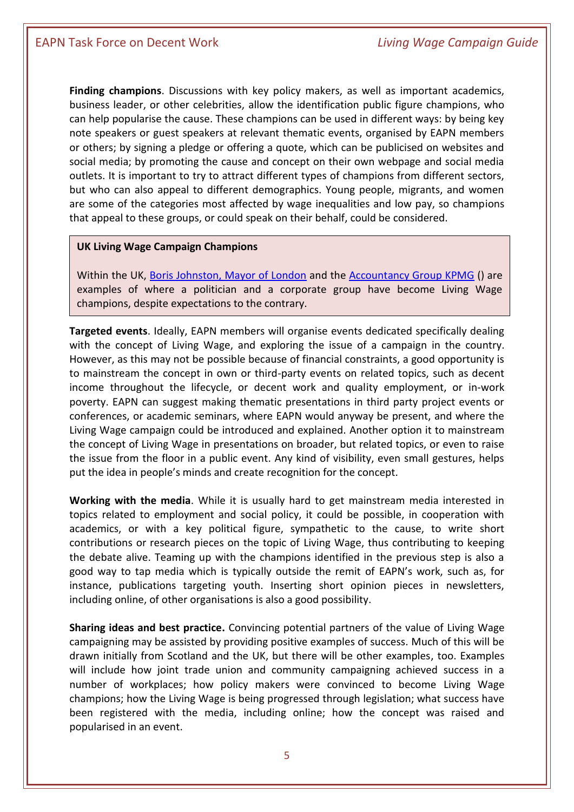**Finding champions**. Discussions with key policy makers, as well as important academics, business leader, or other celebrities, allow the identification public figure champions, who can help popularise the cause. These champions can be used in different ways: by being key note speakers or guest speakers at relevant thematic events, organised by EAPN members or others; by signing a pledge or offering a quote, which can be publicised on websites and social media; by promoting the cause and concept on their own webpage and social media outlets. It is important to try to attract different types of champions from different sectors, but who can also appeal to different demographics. Young people, migrants, and women are some of the categories most affected by wage inequalities and low pay, so champions that appeal to these groups, or could speak on their behalf, could be considered.

#### **UK Living Wage Campaign Champions**

Within the UK, [Boris Johnston, Mayor of London](http://www.theguardian.com/society/2012/nov/05/living-wage-adopted-government-boris) and the [Accountancy Group KPMG](http://www.kpmg.com/UK/en/IssuesAndInsights/ArticlesPublications/Pages/living-wage.aspx) () are examples of where a politician and a corporate group have become Living Wage champions, despite expectations to the contrary.

**Targeted events**. Ideally, EAPN members will organise events dedicated specifically dealing with the concept of Living Wage, and exploring the issue of a campaign in the country. However, as this may not be possible because of financial constraints, a good opportunity is to mainstream the concept in own or third-party events on related topics, such as decent income throughout the lifecycle, or decent work and quality employment, or in-work poverty. EAPN can suggest making thematic presentations in third party project events or conferences, or academic seminars, where EAPN would anyway be present, and where the Living Wage campaign could be introduced and explained. Another option it to mainstream the concept of Living Wage in presentations on broader, but related topics, or even to raise the issue from the floor in a public event. Any kind of visibility, even small gestures, helps put the idea in people's minds and create recognition for the concept.

**Working with the media**. While it is usually hard to get mainstream media interested in topics related to employment and social policy, it could be possible, in cooperation with academics, or with a key political figure, sympathetic to the cause, to write short contributions or research pieces on the topic of Living Wage, thus contributing to keeping the debate alive. Teaming up with the champions identified in the previous step is also a good way to tap media which is typically outside the remit of EAPN's work, such as, for instance, publications targeting youth. Inserting short opinion pieces in newsletters, including online, of other organisations is also a good possibility.

**Sharing ideas and best practice.** Convincing potential partners of the value of Living Wage campaigning may be assisted by providing positive examples of success. Much of this will be drawn initially from Scotland and the UK, but there will be other examples, too. Examples will include how joint trade union and community campaigning achieved success in a number of workplaces; how policy makers were convinced to become Living Wage champions; how the Living Wage is being progressed through legislation; what success have been registered with the media, including online; how the concept was raised and popularised in an event.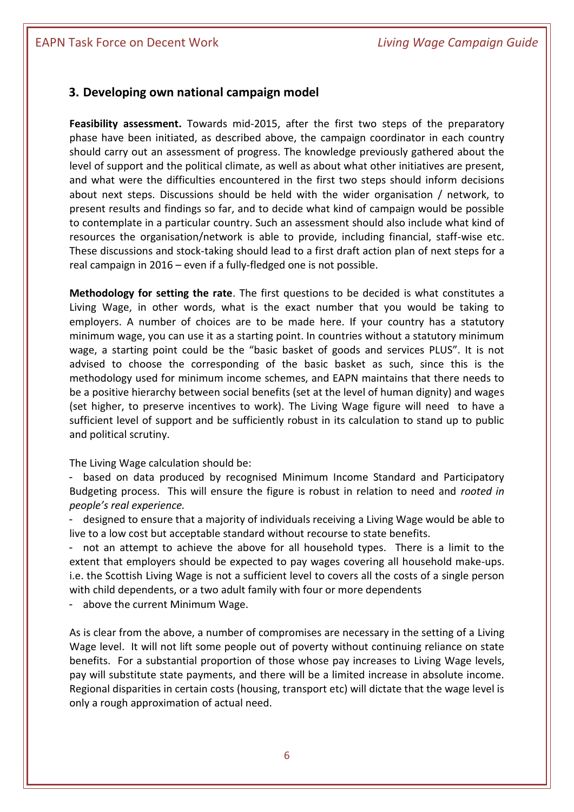## **3. Developing own national campaign model**

**Feasibility assessment.** Towards mid-2015, after the first two steps of the preparatory phase have been initiated, as described above, the campaign coordinator in each country should carry out an assessment of progress. The knowledge previously gathered about the level of support and the political climate, as well as about what other initiatives are present, and what were the difficulties encountered in the first two steps should inform decisions about next steps. Discussions should be held with the wider organisation / network, to present results and findings so far, and to decide what kind of campaign would be possible to contemplate in a particular country. Such an assessment should also include what kind of resources the organisation/network is able to provide, including financial, staff-wise etc. These discussions and stock-taking should lead to a first draft action plan of next steps for a real campaign in 2016 – even if a fully-fledged one is not possible.

**Methodology for setting the rate**. The first questions to be decided is what constitutes a Living Wage, in other words, what is the exact number that you would be taking to employers. A number of choices are to be made here. If your country has a statutory minimum wage, you can use it as a starting point. In countries without a statutory minimum wage, a starting point could be the "basic basket of goods and services PLUS". It is not advised to choose the corresponding of the basic basket as such, since this is the methodology used for minimum income schemes, and EAPN maintains that there needs to be a positive hierarchy between social benefits (set at the level of human dignity) and wages (set higher, to preserve incentives to work). The Living Wage figure will need to have a sufficient level of support and be sufficiently robust in its calculation to stand up to public and political scrutiny.

The Living Wage calculation should be:

based on data produced by recognised Minimum Income Standard and Participatory Budgeting process. This will ensure the figure is robust in relation to need and *rooted in people's real experience.*

- designed to ensure that a majority of individuals receiving a Living Wage would be able to live to a low cost but acceptable standard without recourse to state benefits.

- not an attempt to achieve the above for all household types. There is a limit to the extent that employers should be expected to pay wages covering all household make-ups. i.e. the Scottish Living Wage is not a sufficient level to covers all the costs of a single person with child dependents, or a two adult family with four or more dependents

above the current Minimum Wage.

As is clear from the above, a number of compromises are necessary in the setting of a Living Wage level. It will not lift some people out of poverty without continuing reliance on state benefits. For a substantial proportion of those whose pay increases to Living Wage levels, pay will substitute state payments, and there will be a limited increase in absolute income. Regional disparities in certain costs (housing, transport etc) will dictate that the wage level is only a rough approximation of actual need.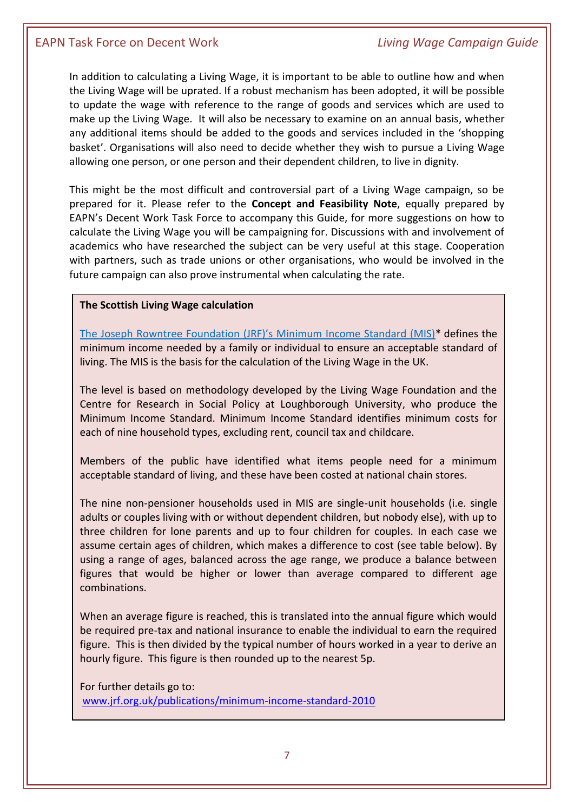## EAPN Task Force on Decent Work *Living Wage Campaign Guide*

In addition to calculating a Living Wage, it is important to be able to outline how and when the Living Wage will be uprated. If a robust mechanism has been adopted, it will be possible to update the wage with reference to the range of goods and services which are used to make up the Living Wage. It will also be necessary to examine on an annual basis, whether any additional items should be added to the goods and services included in the 'shopping basket'. Organisations will also need to decide whether they wish to pursue a Living Wage allowing one person, or one person and their dependent children, to live in dignity.

This might be the most difficult and controversial part of a Living Wage campaign, so be prepared for it. Please refer to the **Concept and Feasibility Note**, equally prepared by EAPN's Decent Work Task Force to accompany this Guide, for more suggestions on how to calculate the Living Wage you will be campaigning for. Discussions with and involvement of academics who have researched the subject can be very useful at this stage. Cooperation with partners, such as trade unions or other organisations, who would be involved in the future campaign can also prove instrumental when calculating the rate.

#### **The Scottish Living Wage calculation**

[The Joseph Rowntree Foundation \(JRF\)'s Minimum Income Standard \(MIS\)](http://www.jrf.org.uk/publications/minimum-income-standard-2010)\* defines the minimum income needed by a family or individual to ensure an acceptable standard of living. The MIS is the basis for the calculation of the Living Wage in the UK.

The level is based on methodology developed by the Living Wage Foundation and the Centre for Research in Social Policy at Loughborough University, who produce the Minimum Income Standard. Minimum Income Standard identifies minimum costs for each of nine household types, excluding rent, council tax and childcare.

Members of the public have identified what items people need for a minimum acceptable standard of living, and these have been costed at national chain stores.

The nine non-pensioner households used in MIS are single-unit households (i.e. single adults or couples living with or without dependent children, but nobody else), with up to three children for lone parents and up to four children for couples. In each case we assume certain ages of children, which makes a difference to cost (see table below). By using a range of ages, balanced across the age range, we produce a balance between figures that would be higher or lower than average compared to different age combinations.

When an average figure is reached, this is translated into the annual figure which would be required pre-tax and national insurance to enable the individual to earn the required figure. This is then divided by the typical number of hours worked in a year to derive an hourly figure. This figure is then rounded up to the nearest 5p.

For further details go to: [www.jrf.org.uk/publications/minimum-income-standard-2010](http://www.jrf.org.uk/publications/minimum-income-standard-2010)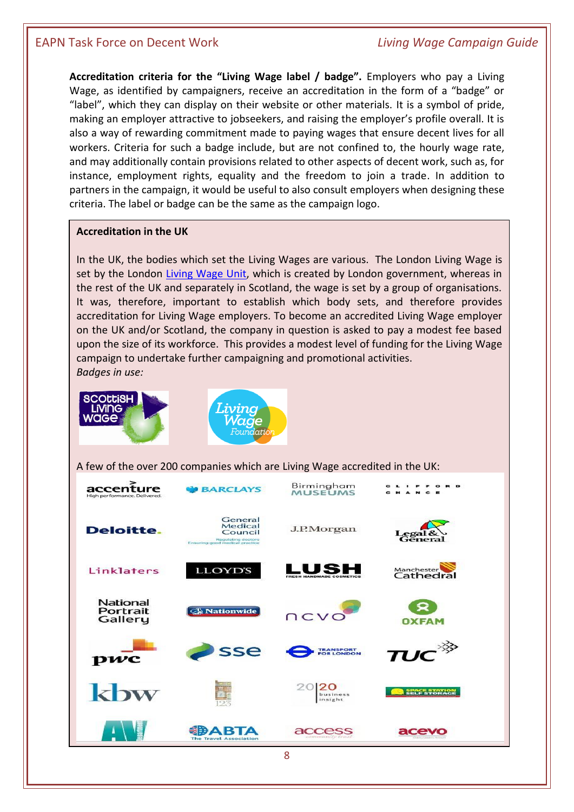## EAPN Task Force on Decent Work *Living Wage Campaign Guide*

**Accreditation criteria for the "Living Wage label / badge".** Employers who pay a Living Wage, as identified by campaigners, receive an accreditation in the form of a "badge" or "label", which they can display on their website or other materials. It is a symbol of pride, making an employer attractive to jobseekers, and raising the employer's profile overall. It is also a way of rewarding commitment made to paying wages that ensure decent lives for all workers. Criteria for such a badge include, but are not confined to, the hourly wage rate, and may additionally contain provisions related to other aspects of decent work, such as, for instance, employment rights, equality and the freedom to join a trade. In addition to partners in the campaign, it would be useful to also consult employers when designing these criteria. The label or badge can be the same as the campaign logo.

#### **Accreditation in the UK**

In the UK, the bodies which set the Living Wages are various. The London Living Wage is set by the London [Living Wage Unit,](http://www.london.gov.uk/mayor/economic_unit/workstreams/living-wage.jsp) which is created by London government, whereas in the rest of the UK and separately in Scotland, the wage is set by a group of organisations. It was, therefore, important to establish which body sets, and therefore provides accreditation for Living Wage employers. To become an accredited Living Wage employer on the UK and/or Scotland, the company in question is asked to pay a modest fee based upon the size of its workforce. This provides a modest level of funding for the Living Wage campaign to undertake further campaigning and promotional activities. *Badges in use:* 

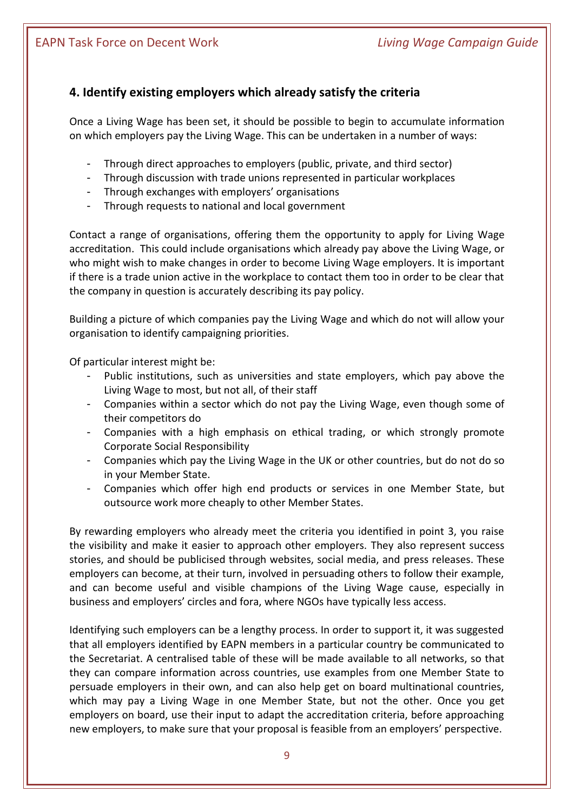# **4. Identify existing employers which already satisfy the criteria**

Once a Living Wage has been set, it should be possible to begin to accumulate information on which employers pay the Living Wage. This can be undertaken in a number of ways:

- Through direct approaches to employers (public, private, and third sector)
- Through discussion with trade unions represented in particular workplaces
- Through exchanges with employers' organisations
- Through requests to national and local government

Contact a range of organisations, offering them the opportunity to apply for Living Wage accreditation. This could include organisations which already pay above the Living Wage, or who might wish to make changes in order to become Living Wage employers. It is important if there is a trade union active in the workplace to contact them too in order to be clear that the company in question is accurately describing its pay policy.

Building a picture of which companies pay the Living Wage and which do not will allow your organisation to identify campaigning priorities.

Of particular interest might be:

- Public institutions, such as universities and state employers, which pay above the Living Wage to most, but not all, of their staff
- Companies within a sector which do not pay the Living Wage, even though some of their competitors do
- Companies with a high emphasis on ethical trading, or which strongly promote Corporate Social Responsibility
- Companies which pay the Living Wage in the UK or other countries, but do not do so in your Member State.
- Companies which offer high end products or services in one Member State, but outsource work more cheaply to other Member States.

By rewarding employers who already meet the criteria you identified in point 3, you raise the visibility and make it easier to approach other employers. They also represent success stories, and should be publicised through websites, social media, and press releases. These employers can become, at their turn, involved in persuading others to follow their example, and can become useful and visible champions of the Living Wage cause, especially in business and employers' circles and fora, where NGOs have typically less access.

Identifying such employers can be a lengthy process. In order to support it, it was suggested that all employers identified by EAPN members in a particular country be communicated to the Secretariat. A centralised table of these will be made available to all networks, so that they can compare information across countries, use examples from one Member State to persuade employers in their own, and can also help get on board multinational countries, which may pay a Living Wage in one Member State, but not the other. Once you get employers on board, use their input to adapt the accreditation criteria, before approaching new employers, to make sure that your proposal is feasible from an employers' perspective.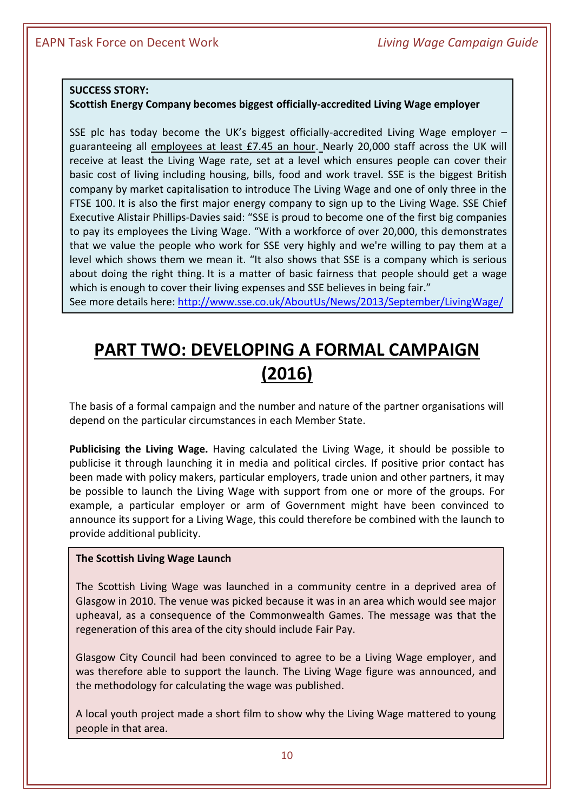#### **SUCCESS STORY:**

#### **Scottish Energy Company becomes biggest officially-accredited Living Wage employer**

SSE plc has today become the UK's biggest officially-accredited Living Wage employer  $$ guaranteeing all employees at least £7.45 an hour. Nearly 20,000 staff across the UK will receive at least the Living Wage rate, set at a level which ensures people can cover their basic cost of living including housing, bills, food and work travel. SSE is the biggest British company by market capitalisation to introduce The Living Wage and one of only three in the FTSE 100. It is also the first major energy company to sign up to the Living Wage. SSE Chief Executive Alistair Phillips-Davies said: "SSE is proud to become one of the first big companies to pay its employees the Living Wage. "With a workforce of over 20,000, this demonstrates that we value the people who work for SSE very highly and we're willing to pay them at a level which shows them we mean it. "It also shows that SSE is a company which is serious about doing the right thing. It is a matter of basic fairness that people should get a wage which is enough to cover their living expenses and SSE believes in being fair."

See more details here:<http://www.sse.co.uk/AboutUs/News/2013/September/LivingWage/>

# **PART TWO: DEVELOPING A FORMAL CAMPAIGN (2016)**

The basis of a formal campaign and the number and nature of the partner organisations will depend on the particular circumstances in each Member State.

**Publicising the Living Wage.** Having calculated the Living Wage, it should be possible to publicise it through launching it in media and political circles. If positive prior contact has been made with policy makers, particular employers, trade union and other partners, it may be possible to launch the Living Wage with support from one or more of the groups. For example, a particular employer or arm of Government might have been convinced to announce its support for a Living Wage, this could therefore be combined with the launch to provide additional publicity.

#### **The Scottish Living Wage Launch**

The Scottish Living Wage was launched in a community centre in a deprived area of Glasgow in 2010. The venue was picked because it was in an area which would see major upheaval, as a consequence of the Commonwealth Games. The message was that the regeneration of this area of the city should include Fair Pay.

Glasgow City Council had been convinced to agree to be a Living Wage employer, and was therefore able to support the launch. The Living Wage figure was announced, and the methodology for calculating the wage was published.

A local youth project made a short film to show why the Living Wage mattered to young people in that area.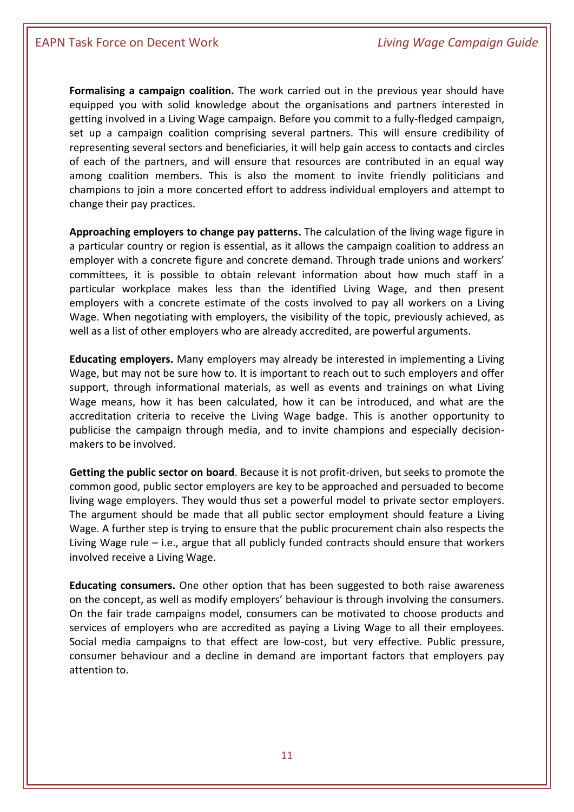**Formalising a campaign coalition.** The work carried out in the previous year should have equipped you with solid knowledge about the organisations and partners interested in getting involved in a Living Wage campaign. Before you commit to a fully-fledged campaign, set up a campaign coalition comprising several partners. This will ensure credibility of representing several sectors and beneficiaries, it will help gain access to contacts and circles of each of the partners, and will ensure that resources are contributed in an equal way among coalition members. This is also the moment to invite friendly politicians and champions to join a more concerted effort to address individual employers and attempt to change their pay practices.

**Approaching employers to change pay patterns.** The calculation of the living wage figure in a particular country or region is essential, as it allows the campaign coalition to address an employer with a concrete figure and concrete demand. Through trade unions and workers' committees, it is possible to obtain relevant information about how much staff in a particular workplace makes less than the identified Living Wage, and then present employers with a concrete estimate of the costs involved to pay all workers on a Living Wage. When negotiating with employers, the visibility of the topic, previously achieved, as well as a list of other employers who are already accredited, are powerful arguments.

**Educating employers.** Many employers may already be interested in implementing a Living Wage, but may not be sure how to. It is important to reach out to such employers and offer support, through informational materials, as well as events and trainings on what Living Wage means, how it has been calculated, how it can be introduced, and what are the accreditation criteria to receive the Living Wage badge. This is another opportunity to publicise the campaign through media, and to invite champions and especially decisionmakers to be involved.

**Getting the public sector on board**. Because it is not profit-driven, but seeks to promote the common good, public sector employers are key to be approached and persuaded to become living wage employers. They would thus set a powerful model to private sector employers. The argument should be made that all public sector employment should feature a Living Wage. A further step is trying to ensure that the public procurement chain also respects the Living Wage rule – i.e., argue that all publicly funded contracts should ensure that workers involved receive a Living Wage.

**Educating consumers.** One other option that has been suggested to both raise awareness on the concept, as well as modify employers' behaviour is through involving the consumers. On the fair trade campaigns model, consumers can be motivated to choose products and services of employers who are accredited as paying a Living Wage to all their employees. Social media campaigns to that effect are low-cost, but very effective. Public pressure, consumer behaviour and a decline in demand are important factors that employers pay attention to.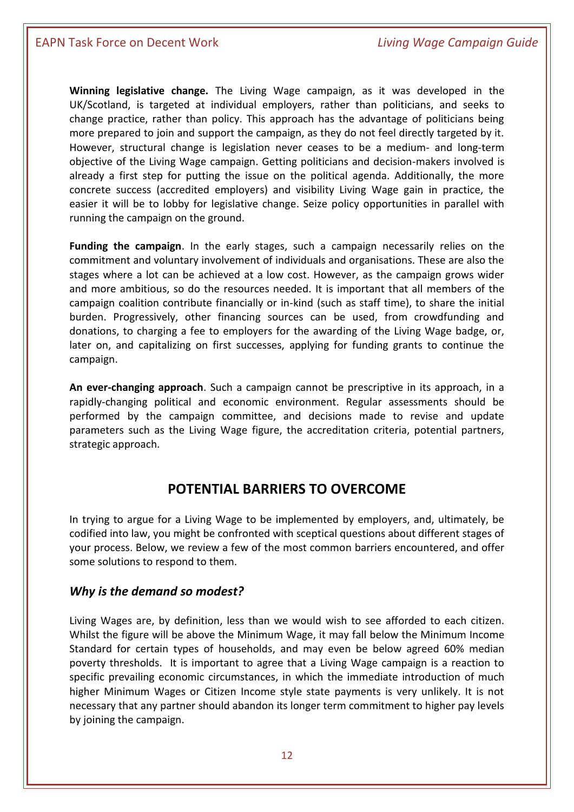**Winning legislative change.** The Living Wage campaign, as it was developed in the UK/Scotland, is targeted at individual employers, rather than politicians, and seeks to change practice, rather than policy. This approach has the advantage of politicians being more prepared to join and support the campaign, as they do not feel directly targeted by it. However, structural change is legislation never ceases to be a medium- and long-term objective of the Living Wage campaign. Getting politicians and decision-makers involved is already a first step for putting the issue on the political agenda. Additionally, the more concrete success (accredited employers) and visibility Living Wage gain in practice, the easier it will be to lobby for legislative change. Seize policy opportunities in parallel with running the campaign on the ground.

**Funding the campaign**. In the early stages, such a campaign necessarily relies on the commitment and voluntary involvement of individuals and organisations. These are also the stages where a lot can be achieved at a low cost. However, as the campaign grows wider and more ambitious, so do the resources needed. It is important that all members of the campaign coalition contribute financially or in-kind (such as staff time), to share the initial burden. Progressively, other financing sources can be used, from crowdfunding and donations, to charging a fee to employers for the awarding of the Living Wage badge, or, later on, and capitalizing on first successes, applying for funding grants to continue the campaign.

**An ever-changing approach**. Such a campaign cannot be prescriptive in its approach, in a rapidly-changing political and economic environment. Regular assessments should be performed by the campaign committee, and decisions made to revise and update parameters such as the Living Wage figure, the accreditation criteria, potential partners, strategic approach.

# **POTENTIAL BARRIERS TO OVERCOME**

In trying to argue for a Living Wage to be implemented by employers, and, ultimately, be codified into law, you might be confronted with sceptical questions about different stages of your process. Below, we review a few of the most common barriers encountered, and offer some solutions to respond to them.

## *Why is the demand so modest?*

Living Wages are, by definition, less than we would wish to see afforded to each citizen. Whilst the figure will be above the Minimum Wage, it may fall below the Minimum Income Standard for certain types of households, and may even be below agreed 60% median poverty thresholds. It is important to agree that a Living Wage campaign is a reaction to specific prevailing economic circumstances, in which the immediate introduction of much higher Minimum Wages or Citizen Income style state payments is very unlikely. It is not necessary that any partner should abandon its longer term commitment to higher pay levels by joining the campaign.